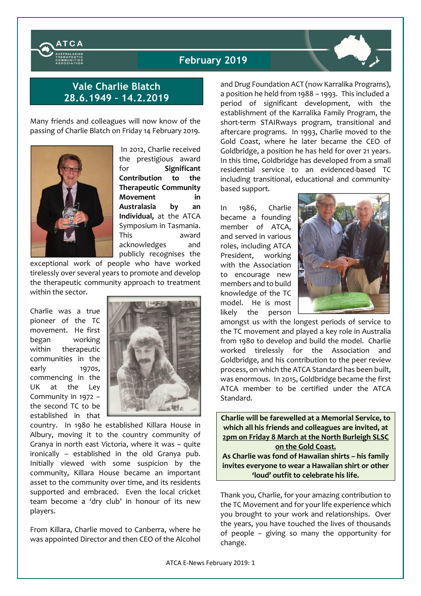

## February 2019

## Vale Charlie Blatch 28.6.1949 – 14.2.2019

Many friends and colleagues will now know of the passing of Charlie Blatch on Friday 14 February 2019.



In 2012, Charlie received the prestigious award for Significant Contribution to the Therapeutic Community Movement in Australasia by an Individual, at the ATCA Symposium in Tasmania. This award acknowledges and publicly recognises the

exceptional work of people who have worked tirelessly over several years to promote and develop the therapeutic community approach to treatment within the sector.

Charlie was a true pioneer of the TC movement. He first began working within therapeutic communities in the early 1970s, commencing in the UK at the Ley Community in 1972 – the second TC to be established in that



country. In 1980 he established Killara House in Albury, moving it to the country community of Granya in north east Victoria, where it was – quite ironically – established in the old Granya pub. Initially viewed with some suspicion by the community, Killara House became an important asset to the community over time, and its residents supported and embraced. Even the local cricket team become a 'dry club' in honour of its new players.

From Killara, Charlie moved to Canberra, where he was appointed Director and then CEO of the Alcohol and Drug Foundation ACT (now Karralika Programs), a position he held from 1988 – 1993. This included a period of significant development, with the establishment of the Karralika Family Program, the short-term STAIRways program, transitional and aftercare programs. In 1993, Charlie moved to the Gold Coast, where he later became the CEO of Goldbridge, a position he has held for over 21 years. In this time, Goldbridge has developed from a small residential service to an evidenced-based TC including transitional, educational and communitybased support.

In 1986, Charlie became a founding member of ATCA, and served in various roles, including ATCA President, working with the Association to encourage new members and to build knowledge of the TC model. He is most likely the person



amongst us with the longest periods of service to the TC movement and played a key role in Australia from 1980 to develop and build the model. Charlie worked tirelessly for the Association and Goldbridge, and his contribution to the peer review process, on which the ATCA Standard has been built, was enormous. In 2015, Goldbridge became the first ATCA member to be certified under the ATCA Standard.

Charlie will be farewelled at a Memorial Service, to which all his friends and colleagues are invited, at 2pm on Friday 8 March at the North Burleigh SLSC on the Gold Coast.

As Charlie was fond of Hawaiian shirts – his family invites everyone to wear a Hawaiian shirt or other 'loud' outfit to celebrate his life.

Thank you, Charlie, for your amazing contribution to the TC Movement and for your life experience which you brought to your work and relationships. Over the years, you have touched the lives of thousands of people – giving so many the opportunity for change.